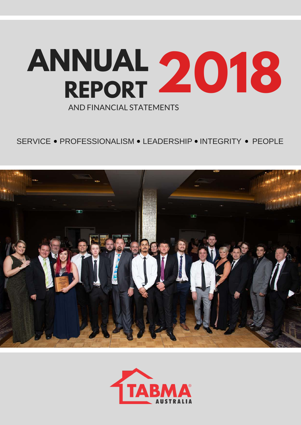

# SERVICE • PROFESSIONALISM • I FADERSHIP • INTEGRITY • PEOPLE



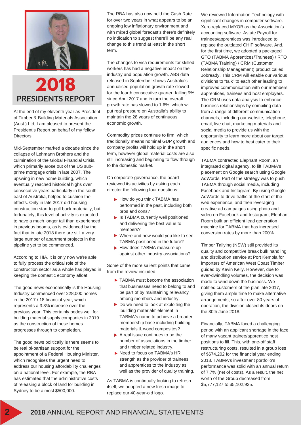



At the end of my eleventh year as President of Timber & Building Materials Association (Aust.) Ltd, I am pleased to present the President's Report on behalf of my fellow Directors.

Mid-September marked a decade since the collapse of Lehmann Brothers and the culmination of the Global Financial Crisis, which primarily arose out of the US subprime mortgage crisis in late 2007. The upswing in new home building, which eventually reached historical highs over consecutive years particularly in the southeast of Australia, helped to cushion the effects. Only in late 2017 did housing construction start to pull back materially, but fortunately, this level of activity is expected to have a much longer tail than experienced in previous booms, as is evidenced by the fact that in late 2018 there are still a very large number of apartment projects in the pipeline yet to be commenced.

According to HIA, it is only now we're able to fully process the critical role of the construction sector as a whole has played in keeping the domestic economy afloat.

The good news economically is the Housing Industry commenced over 228,000 homes in the 2017 / 18 financial year, which represents a 3.3% increase over the previous year. This certainly bodes well for building material supply companies in 2019 as the construction of these homes progresses through to completion.

The good news politically is there seems to be real bi-partisan support for the appointment of a Federal Housing Minister, which recognises the urgent need to address our housing affordability challenges on a national level. For example, the RBA has estimated that the administrative costs of releasing a block of land for building in Sydney to be almost \$500,000.

The RBA has also now held the Cash Rate for over two years in what appears to be an ongoing low inflationary environment and with mixed global forecast's there's definitely no indication to suggest there'll be any real change to this trend at least in the short term.

The changes to visa requirements for skilled workers has had a negative impact on the industry and population growth. ABS data released in September shows Australia's annualised population growth rate slowed for the fourth consecutive quarter, falling 9% since April 2017 and in turn the overall growth rate has slowed to 1.6%, which will put real pressure on Australia's ability to maintain the 28 years of continuous economic growth.

Commodity prices continue to firm, which traditionally means nominal GDP growth and company profits will hold up in the short term, however global material costs are also still increasing and beginning to flow through to the domestic market.

On corporate governance, the board reviewed its activities by asking each director the following four questions:

- How do you think TABMA has performed in the past, including both pros and cons?
- **In TABMA currently well positioned** and delivering the best value to members?
- Where and how would you like to see TABMA positioned in the future?
- How does TABMA measure up against other industry associations?

Some of the more salient points that came from the review included:

- $\blacktriangleright$  TABMA must become the association that businesses need to belong to and be part of by maintaining relevancy among members and industry.
- $\triangleright$  Do we need to look at exploiting the 'building materials' element in TABMA's name to achieve a broader membership base including building materials & wood composites?
- $\blacktriangleright$  A real issue continues to be the number of associations in the timber and timber related industry.
- ▶ Need to focus on TABMA's HR strength as the provider of trainees and apprentices to the industry as well as the provider of quality training.

As TABMA is continually looking to refresh itself, we adopted a new fresh image to replace our 40-year-old logo.

We reviewed Information Technology with significant changes in computer software. Xero replaced MYOB as the Association's accounting software. Astute Payroll for trainees/apprentices was introduced to replace the outdated CHIP software. And, for the first time, we adopted a packaged GTO (TABMA Apprentices/Trainees) / RTO (TABMA Training) / CRM (Customer Relationship Management) product called Jobready. This CRM will enable our various divisions to "talk" to each other leading to improved communication with our members, apprentices, trainees and host employers. The CRM uses data analysis to enhance business relationships by compiling data from a range of different communication channels, including our website, telephone, email, live chat, marketing materials and social media to provide us with the opportunity to learn more about our target audiences and how to best cater to their specific needs.

TABMA contracted Elephant Room, an integrated digital agency, to lift TABMA's placement on Google search using Google AdWords. Part of the strategy was to push TABMA through social media, including Facebook and Instagram. By using Google AdWords to drive traffic at the start of the web experience, and then leveraging creative ad campaigns using photo and video on Facebook and Instagram, Elephant Room built an efficient lead generation machine for TABMA that has increased conversion rates by more than 200%.

Timber Tallying (NSW) still provided its quality and competitive break bulk handling and distribution service at Port Kembla for importers of American West Coast Timber guided by Kevin Kelly. However, due to ever-dwindling volumes, the decision was made to wind down the business. We notified customers of the plan late 2017, giving them ample time to make alternative arrangements, so after over 80 years of operation, the division closed its doors on the 30th June 2018.

Financially, TABMA faced a challenging period with an applicant shortage in the face of many vacant trainee/apprentice host positions to fill. This, with one-off staff restructuring costs, resulted in a group loss of \$674,202 for the financial year ending 2018. TABMA's investment portfolio's performance was solid with an annual return of 7.7% (net of costs). As a result, the net worth of the Group decreased from \$5,777,127 to \$5,102,925.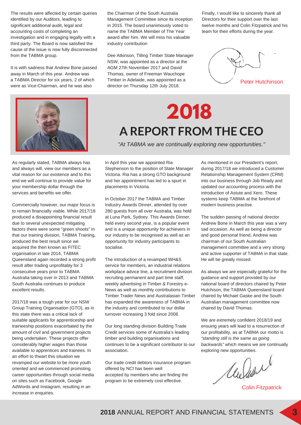The results were affected by certain queries identified by our Auditors, leading to significant additional audit, legal and accounting costs of completing an investigation and in engaging legally with a third party. The Board is now satisfied the cause of the issue is now fully disconnected from the TABMA group.

It is with sadness that Andrew Bone passed away in March of this year. Andrew was a TABMA Director for six years, 2 of which were as Vice-Chairman, and he was also

the Chairman of the South Australia Management Committee since its inception in 2015. The board unanimously voted to name the TABMA Member of The Year award after him. We will miss his valuable industry contribution

Dee Atkinson, Tilling Timber State Manager NSW, was appointed as a director at the AGM 27th November 2017 and David Thomas, owner of Freeman Wauchope Timber in Adelaide, was appointed as a director on Thursday 12th July 2018.

Finally, I would like to sincerely thank all Directors for their support over the last twelve months and Colin Fitzpatrick and his team for their efforts during the year.





As regularly stated, TABMA always has and always will, view our members as a vital reason for our existence and to this end we will continue to provide value for your membership dollar through the services and benefits we offer.

Commercially however, our major focus is to remain financially viable. While 2017/18 produced a disappointing financial result due to several unexpected mitigating factors there were some "green shoots" in that our training division, TABMA Training, produced the best result since we acquired the then known as FITEC organisation in late 2014, TABMA Queensland again recorded a strong profit result after trading unprofitably for 3 consecutive years prior to TABMA Australia taking over in 2013 and TABMA South Australia continues to produce excellent results.

2017/18 was a tough year for our NSW Group Training Organisation (GTO), as in this state there was a critical lack of suitable applicants for apprenticeship and traineeship positions exacerbated by the amount of civil and government projects being undertaken. These projects offer considerably higher wages than those available to apprentices and trainees. In an effort to thwart this situation we revamped our website to be more youth oriented and we commenced promoting career opportunities through social media on sites such as Facebook, Google AdWords and Instagram, resulting in an increase in enquiries.

**A REPORT FROM THE CEO 2018** 

*"At TABMA we are continually exploring new opportunities."*

In April this year we appointed Ria Stephenson to the position of State Manager Victoria. Ria has a strong GTO background and her appointment has led to a spurt in placements in Victoria.

In October 2017 the TABMA and Timber Industry Awards Dinner, attended by over 280 guests from all over Australia, was held at Luna Park, Sydney. This Awards Dinner, held every second year, is a popular event and is a unique opportunity for achievers in our industry to be recognised as well as an opportunity for industry participants to socialise.

The introduction of a revamped WH&S service for members, an industrial relations workplace advice line, a recruitment division recruiting permanent and part time staff, weekly advertising in Timber & Forestry e-News as well as monthly contributions to Timber Trader News and Australasian Timber has expanded the awareness of TABMA in the industry and contributed to our dollar turnover increasing 3 fold since 2008.

Our long standing division Building Trade Credit services some of Australia's leading timber and building organisations and continues to be a significant contributor to our association.

Our trade credit debtors insurance program offered by NCI has been well accepted by members who are finding the program to be extremely cost effective.

As mentioned in our President's report, during 2017/18 we introduced a Customer Relationship Management System (CRM) into our business through Job Ready and updated our accounting process with the introduction of Astute and Xero. These systems keep TABMA at the forefront of modern business practise.

The sudden passing of national director Andrew Bone in March this year was a very sad occasion. As well as being a director and good personal friend, Andrew was chairman of our South Australian management committee and a very strong and active supporter of TABMA in that state. He will be greatly missed.

As always we are especially grateful for the guidance and support provided by our national board of directors chaired by Peter Hutchison, the TABMA Queensland board chaired by Michael Gaske and the South Australian management committee now chaired by David Thomas.

We are extremely confident 2018/19 and ensuing years will lead to a resurrection of our profitability, as at TABMA our motto is *"standing still is the same as going backwards"* which means we are continually exploring new opportunities.

Chelier

Colin Fitzpatrick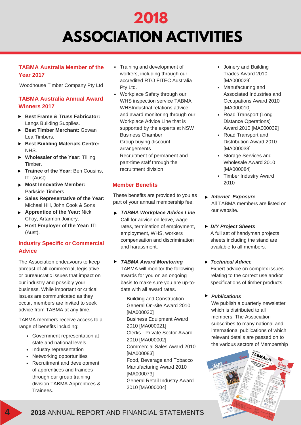# **2018 ASSOCIATION ACTIVITIES**

### **TABMA Australia Member of the Year 2017**

Woodhouse Timber Company Pty Ltd

### **TABMA Australia Annual Award Winners 2017**

- **Best Frame & Truss Fabricator:** Langs Building Supplies.
- **Best Timber Merchant:** Gowan Lea Timbers.
- **Best Building Materials Centre:** NHS.
- **Wholesaler of the Year:** Tilling Timber.
- **Trainee of the Year:** Ben Cousins, ITI (Aust).
- **Most Innovative Member:** Parkside Timbers.
- **Sales Representative of the Year:** Michael Hill, John Cook & Sons
- **Apprentice of the Year:** Nick Choy, Artarmon Joinery.
- **Host Employer of the Year:** ITI (Aust).

## **Industry Specific or Commercial Advice**

The Association endeavours to keep abreast of all commercial, legislative or bureaucratic issues that impact on our industry and possibly your business. While important or critical issues are communicated as they occur, members are invited to seek advice from TABMA at any time.

TABMA members receive access to a range of benefits including:

- Government representation at state and national levels
- Industry representation
- Networking opportunities
- Recruitment and development of apprentices and trainees through our group training division TABMA Apprentices & Trainees.
- Training and development of workers, including through our accredited RTO FITEC Australia Pty Ltd.
- Workplace Safety through our WHS inspection service TABMA WHSIndustrial relations advice and award monitoring through our Workplace Advice Line that is supported by the experts at NSW Business Chamber Group buying discount arrangements Recruitment of permanent and part-time staff through the

recruitment division

### **Member Benefits**

These benefits are provided to you as part of your annual membership fee.

*TABMA Workplace Advice Line* Call for advice on leave, wage rates, termination of employment, employment, WHS, workers compensation and discrimination and harassment.

### *TABMA Award Monitoring* TABMA will monitor the following awards for you on an ongoing basis to make sure you are up-todate with all award rates.

Building and Construction General On-site Award 2010 [MA000020] Business Equipment Award 2010 [MA000021] Clerks - Private Sector Award 2010 [MA000002] Commercial Sales Award 2010 [MA000083] Food, Beverage and Tobacco Manufacturing Award 2010 [MA000073] General Retail Industry Award

2010 [MA000004]

- Joinery and Building Trades Award 2010 [MA000029]
- Manufacturing and Associated Industries and Occupations Award 2010 [MA000010]
- Road Transport (Long Distance Operations) Award 2010 [MA000039]
- Road Transport and Distribution Award 2010 [MA000038]
- Storage Services and Wholesale Award 2010 [MA000084]
- Timber Industry Award 2010
- *Internet Exposure*  All TABMA members are listed on our website.
- *DIY Project Sheets* A full set of handyman projects sheets including the stand are available to all members.

### *Technical Advice*

Expert advice on complex issues relating to the correct use and/or specifications of timber products.

### *Publications*

We publish a quarterly newsletter which is distributed to all members. The Association subscribes to many national and international publications of which relevant details are passed on to the various sectors of Membership



## **4 2018** ANNUAL REPORT AND FINANCIAL STATEMENTS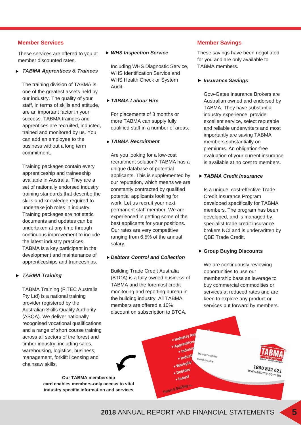### **Member Services Member Savings**

These services are offered to you at member discounted rates.

### *TABMA Apprentices & Trainees*

The training division of TABMA is one of the greatest assets held by our industry. The quality of your staff, in terms of skills and attitude, are an important factor in your success. TABMA trainees and apprentices are recruited, inducted, trained and monitored by us. You can add an employee to the business without a long term commitment.

Training packages contain every apprenticeship and traineeship available in Australia. They are a set of nationally endorsed industry training standards that describe the skills and knowledge required to undertake job roles in industry. Training packages are not static documents and updates can be undertaken at any time through continuous improvement to include the latest industry practices. TABMA is a key participant in the development and maintenance of apprenticeships and traineeships.

### *TABMA Training*

TABMA Training (FITEC Australia Pty Ltd) is a national training provider registered by the Australian Skills Quality Authority (ASQA). We deliver nationally recognised vocational qualifications and a range of short course training across all sectors of the forest and timber industry, including sales, warehousing, logistics, business, management, forklift licensing and chainsaw skills.

> **Our TABMA membership card enables members-only access to vital industry specific information and services**

### *WHS Inspection Service*

Including WHS Diagnostic Service, WHS Identification Service and WHS Health Check or System Audit.

### *TABMA Labour Hire*

For placements of 3 months or more TABMA can supply fully qualified staff in a number of areas.

### *TABMA Recruitment*

Are you looking for a low-cost recruitment solution? TABMA has a unique database of potential applicants. This is supplemented by our reputation, which means we are constantly contracted by qualified potential applicants looking for work. Let us recruit your next permanent staff member. We are experienced in getting some of the best applicants for your positions. Our rates are very competitive ranging from 6.5% of the annual salary.

### *Debtors Control and Collection*

Building Trade Credit Australia (BTCA) is a fully owned business of TABMA and the foremost credit monitoring and reporting bureau in the building industry. All TABMA members are offered a 10% discount on subscription to BTCA.

These savings have been negotiated for you and are only available to TABMA members.

*Insurance Savings* 

Gow-Gates Insurance Brokers are Australian owned and endorsed by TABMA. They have substantial industry experience, provide excellent service, select reputable and reliable underwriters and most importantly are saving TABMA members substantially on premiums. An obligation-free evaluation of your current insurance is available at no cost to members.

### *TABMA Credit Insurance*

Is a unique, cost-effective Trade Credit Insurance Program developed specifically for TABMA members. The program has been developed, and is managed by, specialist trade credit insurance brokers NCI and is underwritten by QBE Trade Credit.

### **Group Buying Discounts**

We are continuously reviewing opportunities to use our membership base as leverage to buy commercial commodities or services at reduced rates and are keen to explore any product or services put forward by members.



· Industry Ass • Industry . Industr

. Indust

**Workpla** 

Debtors . Indust

**Timber & Building -**

nber number

Member since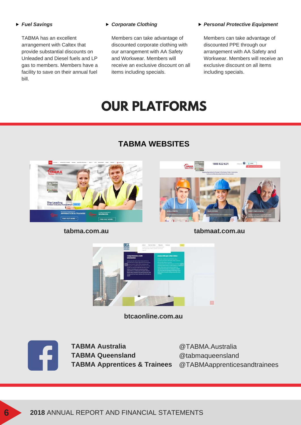### *Fuel Savings*

TABMA has an excellent arrangement with Caltex that provide substantial discounts on Unleaded and Diesel fuels and LP gas to members. Members have a facility to save on their annual fuel bill.

### *Corporate Clothing*

Members can take advantage of discounted corporate clothing with our arrangement with AA Safety and Workwear. Members will receive an exclusive discount on all items including specials.

### *Personal Protective Equipment*

Members can take advantage of discounted PPE through our arrangement with AA Safety and Workwear. Members will receive an exclusive discount on all items including specials.

# **OUR PLATFORMS**

# **TABMA WEBSITES**





**tabma.com.au tabmaat.com.au**



**btcaonline.com.au**



**TABMA Australia TABMA Queensland** 

**TABMA Apprentices & Trainees** @TABMAapprenticesandtrainees@TABMA.Australia @tabmaqueensland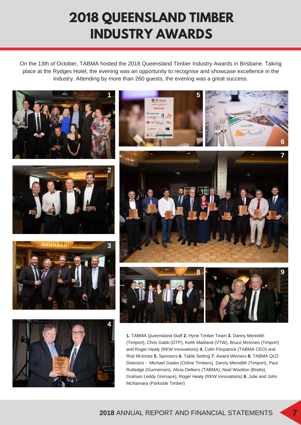# **2018 QUEENSLAND TIMBER INDUSTRY AWARDS**

On the 13th of October, TABMA hosted the 2018 Queensland Timber Industry Awards in Brisbane. Taking place at the Rydges Hotel, the evening was an opportunity to recognise and showcase excellence in the industry. Attending by more than 260 guests, the evening was a great success.



Rutledge (Gunnerson), Alicia Oelkers (TABMA), Noel Wootton (Bretts), Graham Leddy (Versace), Roger Healy (RKW Innovations) **9.** Julie and John McNamara (Parkside Timber)